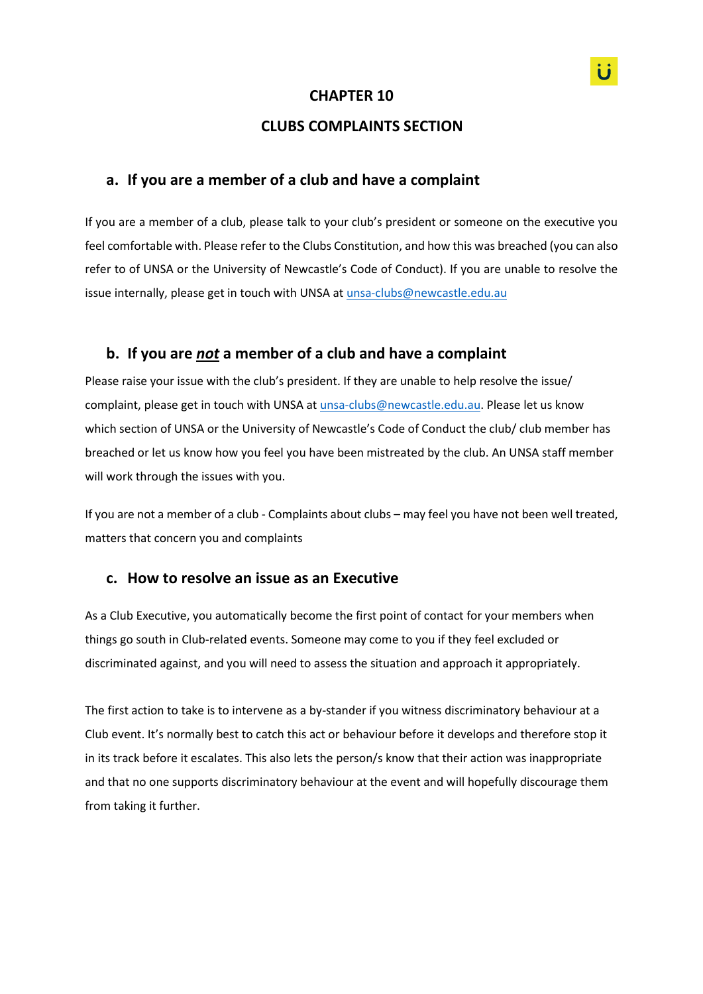#### **CHAPTER 10**

## **CLUBS COMPLAINTS SECTION**

### **a. If you are a member of a club and have a complaint**

If you are a member of a club, please talk to your club's president or someone on the executive you feel comfortable with. Please refer to the Clubs Constitution, and how this was breached (you can also refer to of UNSA or the University of Newcastle's Code of Conduct). If you are unable to resolve the issue internally, please get in touch with UNSA at [unsa-clubs@newcastle.edu.au](mailto:unsa-clubs@newcastle.edu.au)

#### **b. If you are** *not* **a member of a club and have a complaint**

Please raise your issue with the club's president. If they are unable to help resolve the issue/ complaint, please get in touch with UNSA at [unsa-clubs@newcastle.edu.au.](mailto:unsa-clubs@newcastle.edu.au) Please let us know which section of UNSA or the University of Newcastle's Code of Conduct the club/ club member has breached or let us know how you feel you have been mistreated by the club. An UNSA staff member will work through the issues with you.

If you are not a member of a club - Complaints about clubs – may feel you have not been well treated, matters that concern you and complaints

## **c. How to resolve an issue as an Executive**

As a Club Executive, you automatically become the first point of contact for your members when things go south in Club-related events. Someone may come to you if they feel excluded or discriminated against, and you will need to assess the situation and approach it appropriately.

The first action to take is to intervene as a by-stander if you witness discriminatory behaviour at a Club event. It's normally best to catch this act or behaviour before it develops and therefore stop it in its track before it escalates. This also lets the person/s know that their action was inappropriate and that no one supports discriminatory behaviour at the event and will hopefully discourage them from taking it further.